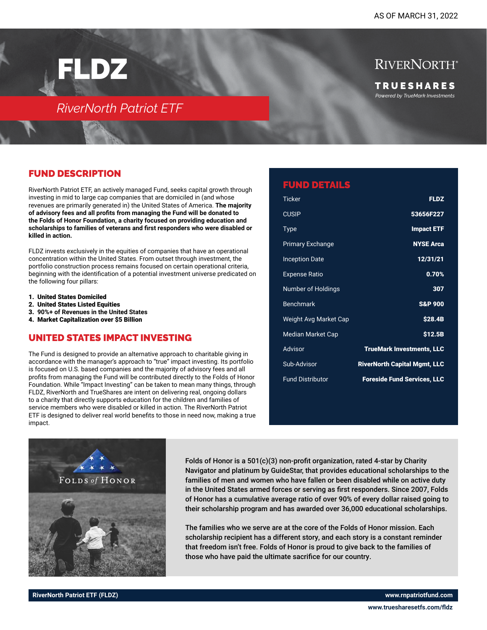FLDZ

## *RiverNorth Patriot ETF*

RIVERNORTH<sup>®</sup> T R U E S H A R E S *Powered by TrueMark Investments*

## FUND DESCRIPTION

RiverNorth Patriot ETF, an actively managed Fund, seeks capital growth through investing in mid to large cap companies that are domiciled in (and whose revenues are primarily generated in) the United States of America. **The majority of advisory fees and all profits from managing the Fund will be donated to the Folds of Honor Foundation, a charity focused on providing education and scholarships to families of veterans and first responders who were disabled or killed in action.** 

FLDZ invests exclusively in the equities of companies that have an operational concentration within the United States. From outset through investment, the portfolio construction process remains focused on certain operational criteria, beginning with the identification of a potential investment universe predicated on the following four pillars:

- 1. United States Domiciled
- 2. United States Listed Equities
- 3. **90%+ of Revenues in the United States**
- 4. Market Capitalization over \$5 Billion

#### UNITED STATES IMPACT INVESTING

The Fund is designed to provide an alternative approach to charitable giving in accordance with the manager's approach to "true" impact investing. Its portfolio is focused on U.S. based companies and the majority of advisory fees and all profits from managing the Fund will be contributed directly to the Folds of Honor Foundation. While "Impact Investing" can be taken to mean many things, through FLDZ, RiverNorth and TrueShares are intent on delivering real, ongoing dollars to a charity that directly supports education for the children and families of service members who were disabled or killed in action. The RiverNorth Patriot ETF is designed to deliver real world benefits to those in need now, making a true impact.

| <b>FUND DETAILS</b>      |                                     |
|--------------------------|-------------------------------------|
| Ticker                   | <b>FLDZ</b>                         |
| <b>CUSIP</b>             | 53656F227                           |
| Type                     | <b>Impact ETF</b>                   |
| <b>Primary Exchange</b>  | <b>NYSE Arca</b>                    |
| <b>Inception Date</b>    | 12/31/21                            |
| <b>Expense Ratio</b>     | 0.70%                               |
| Number of Holdings       | 307                                 |
| <b>Benchmark</b>         | <b>S&amp;P 900</b>                  |
| Weight Avg Market Cap    | <b>\$28.4B</b>                      |
| <b>Median Market Cap</b> | \$12.5B                             |
| Advisor                  | <b>TrueMark Investments, LLC</b>    |
| Sub-Advisor              | <b>RiverNorth Capital Mgmt, LLC</b> |
| <b>Fund Distributor</b>  | <b>Foreside Fund Services, LLC</b>  |



Folds of Honor is a 501(c)(3) non-profit organization, rated 4-star by Charity Navigator and platinum by GuideStar, that provides educational scholarships to the families of men and women who have fallen or been disabled while on active duty in the United States armed forces or serving as first responders. Since 2007, Folds of Honor has a cumulative average ratio of over 90% of every dollar raised going to their scholarship program and has awarded over 36,000 educational scholarships.

The families who we serve are at the core of the Folds of Honor mission. Each scholarship recipient has a different story, and each story is a constant reminder that freedom isn't free. Folds of Honor is proud to give back to the families of those who have paid the ultimate sacrifice for our country.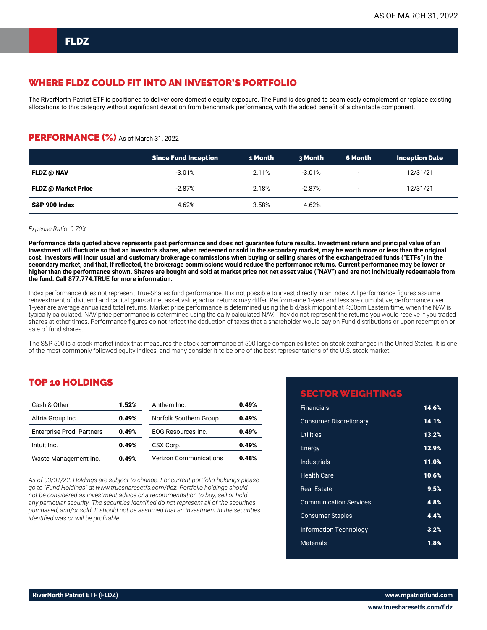### WHERE FLDZ COULD FIT INTO AN INVESTOR'S PORTFOLIO

The RiverNorth Patriot ETF is positioned to deliver core domestic equity exposure. The Fund is designed to seamlessly complement or replace existing allocations to this category without significant deviation from benchmark performance, with the added benefit of a charitable component.

#### PERFORMANCE (%) As of March 31, 2022

|                          | <b>Since Fund Inception</b> | 1 Month  | 3 Month  | 6 Month                  | <b>Inception Date</b>    |
|--------------------------|-----------------------------|----------|----------|--------------------------|--------------------------|
| FLDZ @ NAV               | $-3.01\%$                   | 2.11%    | $-3.01%$ | $\overline{\phantom{a}}$ | 12/31/21                 |
| FLDZ @ Market Price      | -2.87%                      | 2.18%    | $-2.87%$ | $\overline{\phantom{0}}$ | 12/31/21                 |
| <b>S&amp;P 900 Index</b> | $-4.62%$                    | $3.58\%$ | $-4.62%$ | $\overline{\phantom{a}}$ | $\overline{\phantom{a}}$ |

#### *Expense Ratio: 0.70%*

**Performance data quoted above represents past performance and does not guarantee future results. Investment return and principal value of an investment will fluctuate so that an investor's shares, when redeemed or sold in the secondary market, may be worth more or less than the original cost. Investors will incur usual and customary brokerage commissions when buying or selling shares of the exchangetraded funds ("ETFs") in the secondary market, and that, if reflected, the brokerage commissions would reduce the performance returns. Current performance may be lower or higher than the performance shown. Shares are bought and sold at market price not net asset value ("NAV") and are not individually redeemable from the fund. Call 877.774.TRUE for more information.**

Index performance does not represent True-Shares fund performance. It is not possible to invest directly in an index. All performance figures assume reinvestment of dividend and capital gains at net asset value; actual returns may differ. Performance 1-year and less are cumulative; performance over 1-year are average annualized total returns. Market price performance is determined using the bid/ask midpoint at 4:00pm Eastern time, when the NAV is typically calculated. NAV price performance is determined using the daily calculated NAV. They do not represent the returns you would receive if you traded shares at other times. Performance figures do not reflect the deduction of taxes that a shareholder would pay on Fund distributions or upon redemption or sale of fund shares.

The S&P 500 is a stock market index that measures the stock performance of 500 large companies listed on stock exchanges in the United States. It is one of the most commonly followed equity indices, and many consider it to be one of the best representations of the U.S. stock market.

#### TOP 10 HOLDINGS

| Cash & Other                     | 1.52% | Anthem Inc.                   | 0.49% |
|----------------------------------|-------|-------------------------------|-------|
| Altria Group Inc.                | 0.49% | Norfolk Southern Group        | 0.49% |
| <b>Enterprise Prod. Partners</b> | 0.49% | <b>EOG Resources Inc.</b>     | 0.49% |
| Intuit Inc.                      | 0.49% | CSX Corp.                     | 0.49% |
| Waste Management Inc.            | 0.49% | <b>Verizon Communications</b> | 0.48% |

*As of 03/31/22. Holdings are subject to change. For current portfolio holdings please go to "Fund Holdings" at www.truesharesetfs.com/fldz. Portfolio holdings should not be considered as investment advice or a recommendation to buy, sell or hold any particular security. The securities identified do not represent all of the securities purchased, and/or sold. It should not be assumed that an investment in the securities identified was or will be profitable.*

### **CTOR WEIGHTINGS**

| <b>Financials</b>             | 14.6% |
|-------------------------------|-------|
| <b>Consumer Discretionary</b> | 14.1% |
| <b>Utilities</b>              | 13.2% |
| Energy                        | 12.9% |
| <b>Industrials</b>            | 11.0% |
| <b>Health Care</b>            | 10.6% |
| <b>Real Estate</b>            | 9.5%  |
| <b>Communication Services</b> | 4.8%  |
| <b>Consumer Staples</b>       | 4.4%  |
| <b>Information Technology</b> | 3.2%  |
| Materials                     | 1.8%  |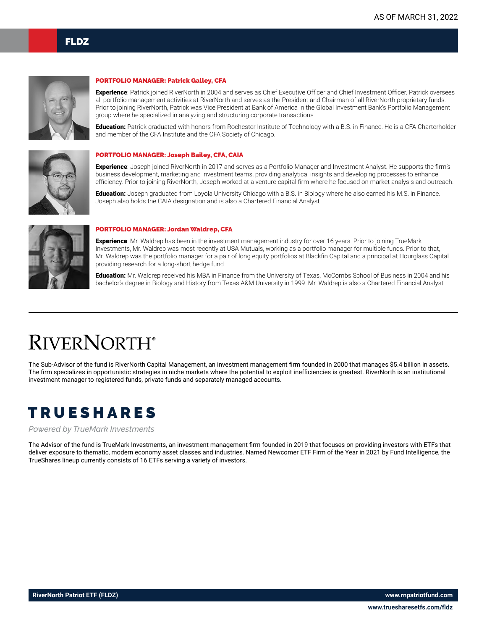

#### PORTFOLIO MANAGER: Patrick Galley, CFA

Experience: Patrick joined RiverNorth in 2004 and serves as Chief Executive Officer and Chief Investment Officer. Patrick oversees all portfolio management activities at RiverNorth and serves as the President and Chairman of all RiverNorth proprietary funds. Prior to joining RiverNorth, Patrick was Vice President at Bank of America in the Global Investment Bank's Portfolio Management group where he specialized in analyzing and structuring corporate transactions.

Education: Patrick graduated with honors from Rochester Institute of Technology with a B.S. in Finance. He is a CFA Charterholder and member of the CFA Institute and the CFA Society of Chicago.



#### PORTFOLIO MANAGER: Joseph Bailey, CFA, CAIA

Experience: Joseph joined RiverNorth in 2017 and serves as a Portfolio Manager and Investment Analyst. He supports the firm's business development, marketing and investment teams, providing analytical insights and developing processes to enhance efficiency. Prior to joining RiverNorth, Joseph worked at a venture capital firm where he focused on market analysis and outreach.

Education: Joseph graduated from Loyola University Chicago with a B.S. in Biology where he also earned his M.S. in Finance. Joseph also holds the CAIA designation and is also a Chartered Financial Analyst.



#### PORTFOLIO MANAGER: Jordan Waldrep, CFA

Experience: Mr. Waldrep has been in the investment management industry for over 16 years. Prior to joining TrueMark Investments, Mr. Waldrep was most recently at USA Mutuals, working as a portfolio manager for multiple funds. Prior to that, Mr. Waldrep was the portfolio manager for a pair of long equity portfolios at Blackfin Capital and a principal at Hourglass Capital providing research for a long-short hedge fund.

Education: Mr. Waldrep received his MBA in Finance from the University of Texas, McCombs School of Business in 2004 and his bachelor's degree in Biology and History from Texas A&M University in 1999. Mr. Waldrep is also a Chartered Financial Analyst.

# **RIVERNORTH®**

The Sub-Advisor of the fund is RiverNorth Capital Management, an investment management firm founded in 2000 that manages \$5.4 billion in assets. The firm specializes in opportunistic strategies in niche markets where the potential to exploit inefficiencies is greatest. RiverNorth is an institutional investment manager to registered funds, private funds and separately managed accounts.

## TRUESHARES

*Powered by TrueMark Investments*

The Advisor of the fund is TrueMark Investments, an investment management firm founded in 2019 that focuses on providing investors with ETFs that deliver exposure to thematic, modern economy asset classes and industries. Named Newcomer ETF Firm of the Year in 2021 by Fund Intelligence, the TrueShares lineup currently consists of 16 ETFs serving a variety of investors.